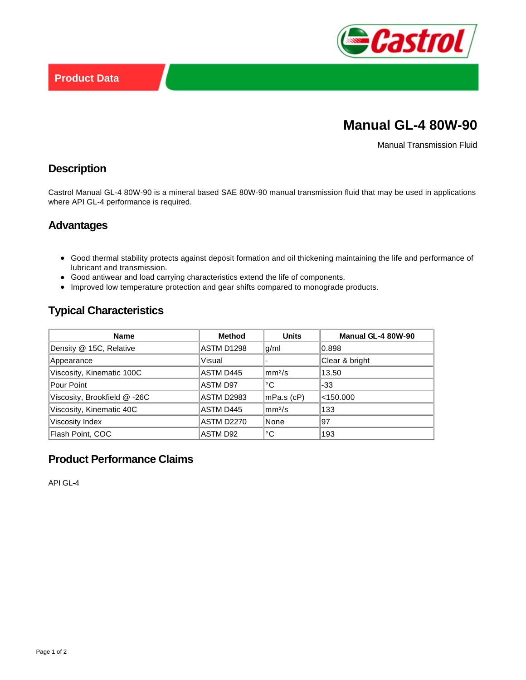

# **Manual GL-4 80W-90**

Manual Transmission Fluid

## **Description**

Castrol Manual GL-4 80W-90 is a mineral based SAE 80W-90 manual transmission fluid that may be used in applications where API GL-4 performance is required.

#### **Advantages**

- Good thermal stability protects against deposit formation and oil thickening maintaining the life and performance of lubricant and transmission.
- Good antiwear and load carrying characteristics extend the life of components.
- Improved low temperature protection and gear shifts compared to monograde products.

# **Typical Characteristics**

| <b>Name</b>                  | <b>Method</b>     | <b>Units</b>         | Manual GL-4 80W-90 |
|------------------------------|-------------------|----------------------|--------------------|
| Density @ 15C, Relative      | ASTM D1298        | g/ml                 | 0.898              |
| Appearance                   | Visual            |                      | Clear & bright     |
| Viscosity, Kinematic 100C    | ASTM D445         | $\rm{mm}^{2}/\rm{s}$ | 13.50              |
| Pour Point                   | ASTM D97          | °C                   | $-33$              |
| Viscosity, Brookfield @ -26C | <b>ASTM D2983</b> | mPa.s (cP)           | $<$ 150.000        |
| Viscosity, Kinematic 40C     | ASTM D445         | $\rm{mm}^{2}/\rm{s}$ | 133                |
| Viscosity Index              | <b>ASTM D2270</b> | None                 | 97                 |
| Flash Point, COC             | ASTM D92          | °C                   | 193                |

# **Product Performance Claims**

API GL-4